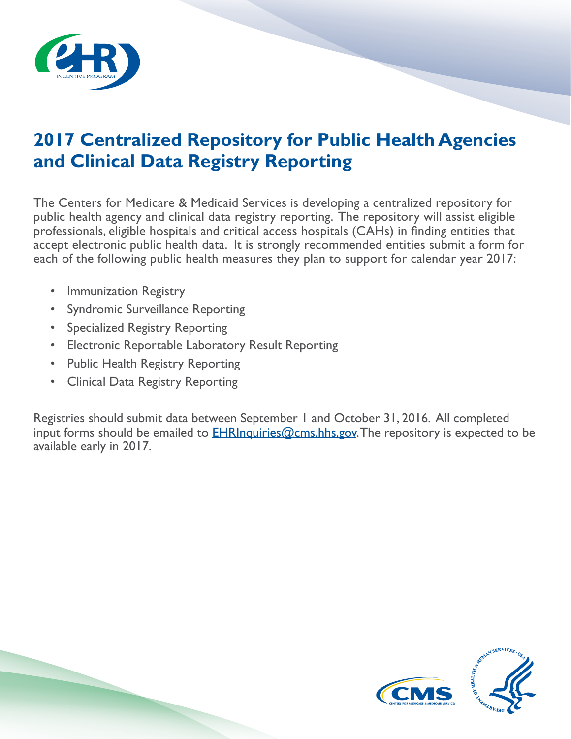

## **2017 Centralized Repository for Public Health Agencies and Clinical Data Registry Reporting**

The Centers for Medicare & Medicaid Services is developing a centralized repository for public health agency and clinical data registry reporting. The repository will assist eligible professionals, eligible hospitals and critical access hospitals (CAHs) in finding entities that accept electronic public health data. It is strongly recommended entities submit a form for each of the following public health measures they plan to support for calendar year 2017:

- Immunization Registry
- Syndromic Surveillance Reporting
- Specialized Registry Reporting
- Electronic Reportable Laboratory Result Reporting
- Public Health Registry Reporting
- Clinical Data Registry Reporting

Registries should submit data between September 1 and October 31, 2016. All completed input forms should be emailed to **EHRInquiries@cms.hhs.gov**. The repository is expected to be available early in 2017.